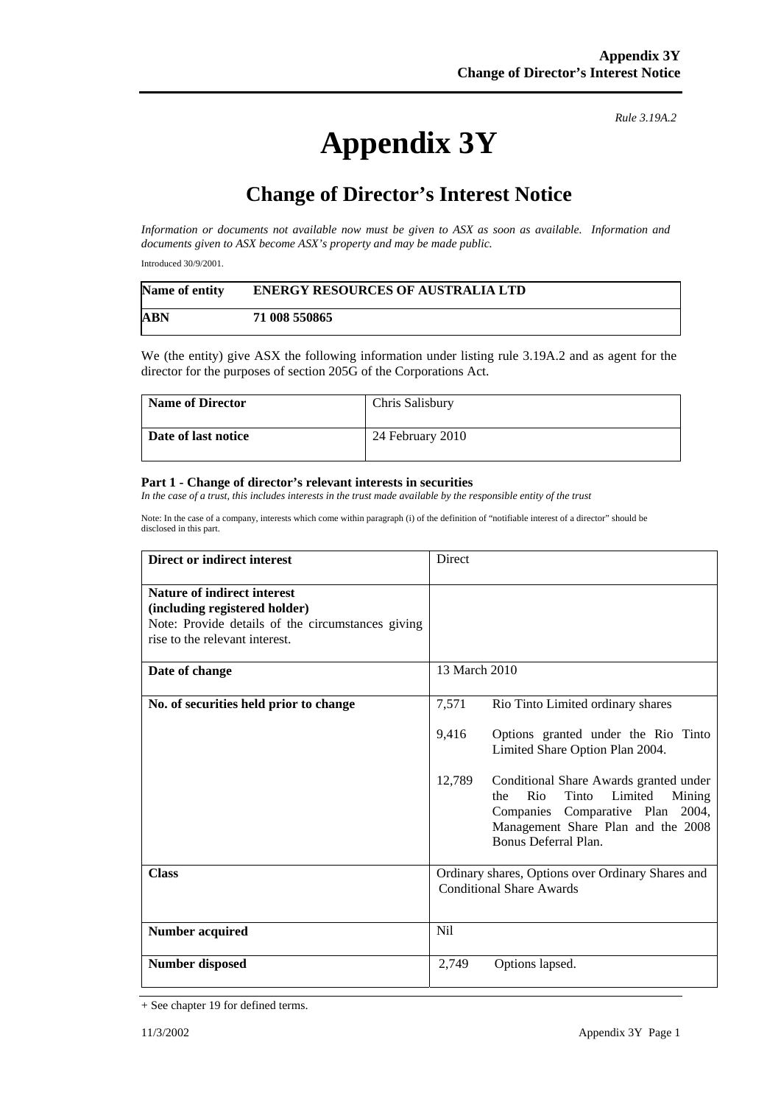## **Appendix 3Y**

*Rule 3.19A.2*

## **Change of Director's Interest Notice**

*Information or documents not available now must be given to ASX as soon as available. Information and documents given to ASX become ASX's property and may be made public.* 

Introduced 30/9/2001.

| Name of entity | <b>ENERGY RESOURCES OF AUSTRALIA LTD</b> |
|----------------|------------------------------------------|
| <b>ABN</b>     | 71 008 550865                            |

We (the entity) give ASX the following information under listing rule 3.19A.2 and as agent for the director for the purposes of section 205G of the Corporations Act.

| <b>Name of Director</b> | Chris Salisbury  |
|-------------------------|------------------|
| Date of last notice     | 24 February 2010 |

## **Part 1 - Change of director's relevant interests in securities**

In the case of a trust, this includes interests in the trust made available by the responsible entity of the trust

Note: In the case of a company, interests which come within paragraph (i) of the definition of "notifiable interest of a director" should be disclosed in this part.

| <b>Direct or indirect interest</b>                                                                                                                  | Direct                                                                                                                                                                                         |  |
|-----------------------------------------------------------------------------------------------------------------------------------------------------|------------------------------------------------------------------------------------------------------------------------------------------------------------------------------------------------|--|
| Nature of indirect interest<br>(including registered holder)<br>Note: Provide details of the circumstances giving<br>rise to the relevant interest. |                                                                                                                                                                                                |  |
| Date of change                                                                                                                                      | 13 March 2010                                                                                                                                                                                  |  |
| No. of securities held prior to change                                                                                                              | 7,571<br>Rio Tinto Limited ordinary shares                                                                                                                                                     |  |
|                                                                                                                                                     | 9,416<br>Options granted under the Rio Tinto<br>Limited Share Option Plan 2004.                                                                                                                |  |
|                                                                                                                                                     | 12,789<br>Conditional Share Awards granted under<br>Rio<br>Tinto<br>Limited<br>Mining<br>the<br>Companies Comparative Plan 2004,<br>Management Share Plan and the 2008<br>Bonus Deferral Plan. |  |
| <b>Class</b>                                                                                                                                        | Ordinary shares, Options over Ordinary Shares and<br><b>Conditional Share Awards</b>                                                                                                           |  |
| <b>Number acquired</b>                                                                                                                              | <b>Nil</b>                                                                                                                                                                                     |  |
| <b>Number disposed</b>                                                                                                                              | 2,749<br>Options lapsed.                                                                                                                                                                       |  |

<sup>+</sup> See chapter 19 for defined terms.